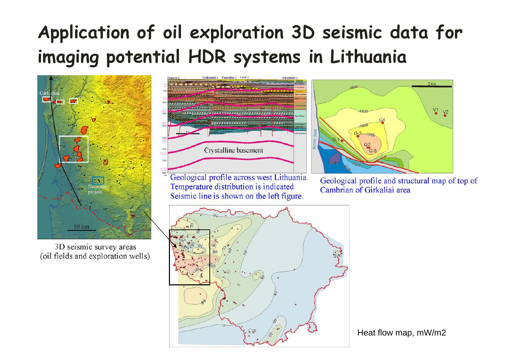## Application of oil exploration 3D seismic data for imaging potential HDR systems in Lithuania



3D seismic survey areas (oil fields and exploration wells)



Geological profile across west Lithuania. Temperature distribution is indicated. Seismic line is shown on the left figure.



Geological profile and structural map of top of Cambrian of Girkaliai area



Heat flow map, mW/m2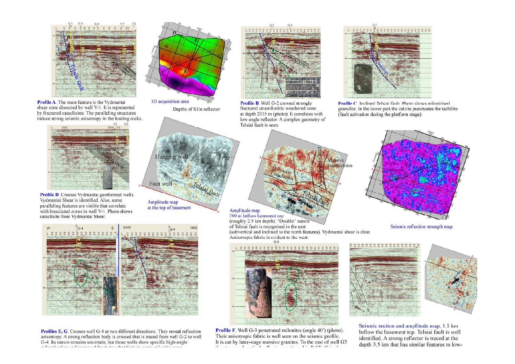

**Profile A**. The main feature is the Vydmantai<br>shear zone dissected by well V-1. It is represented by fractured cataclisites. The paralleling structures induce strong seismic anisotropy in the hosting rocks...



Profile D. Crosses Vydmantai geothermal wells. Vydmantai Shear is identified. Also, some paralleling features are visible that correlate with brecciated zones in well V-1. Photo shows cataclisite from Vydmantai Shear.



Depths of S1In reflector

Foot wall

Amplitude map at the top of basement

Hanging wal



**Profiles E, G**. Crosses well G-4 at two different directions. They reveal reflection anisotropy. A strong reflection body is crossed that is traced from well G-2 to well G-4. Its nature remains uncertain, but those wells show specific high-angle



Profile B. Well G-2 crossed strongly fractured utramilonitic weathered zone at depth 2315 m (photo). It correlates with low angle reflector. A complex geometry of Telsiai fault is seen.



Profile C. Inclined Telsiai fault. Photo shows milonitised granulite. In the lower part the calcite punctuates the tachilite (fault activation during the platform stage)



Seismic reflection strength map



500 m bellow basement top (roughly 2.5 km depth). "Double" nature of Telsiai fault is recognised in the east (subvertical and inclined to the north features). Vydmantai shear is clear.

Anisortopic fabric is evident to the west.

 $G<sub>2</sub>$ . . . . . . . . . . . . . . .

**Profile F.** Well G-3 penetrated milonites (angle 40°) (photo). Their anisotropic fabric is well seen on the seismic profile. It is cut by later-stage massive granites. To the east of well G3





Seismic section and amplitude map, 1.1 km bellow the basement top. Telsiai fault is well identified. A strong reflector is traced at the depth 3.5 km that has similar features to low-